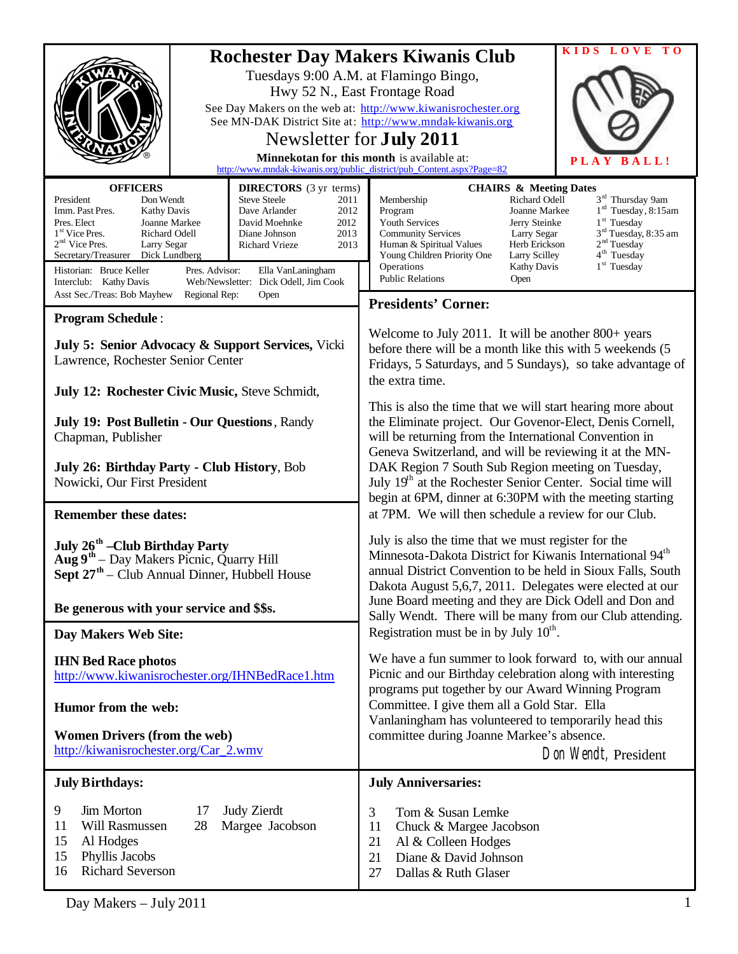|                                                                                                                                                                                                                                                                                                                                                                                                                                           | KIDS<br>LOVE<br>T O                                                                                                                                                                                                                                                                                                                                                                                                                                                                     |
|-------------------------------------------------------------------------------------------------------------------------------------------------------------------------------------------------------------------------------------------------------------------------------------------------------------------------------------------------------------------------------------------------------------------------------------------|-----------------------------------------------------------------------------------------------------------------------------------------------------------------------------------------------------------------------------------------------------------------------------------------------------------------------------------------------------------------------------------------------------------------------------------------------------------------------------------------|
|                                                                                                                                                                                                                                                                                                                                                                                                                                           | <b>Rochester Day Makers Kiwanis Club</b><br>Tuesdays 9:00 A.M. at Flamingo Bingo,<br>Hwy 52 N., East Frontage Road<br>See Day Makers on the web at: http://www.kiwanisrochester.org<br>See MN-DAK District Site at: http://www.mndak-kiwanis.org<br>Newsletter for <b>July 2011</b><br>Minnekotan for this month is available at:<br>PLAY<br>BALL!<br>http://www.mndak-kiwanis.org/public_district/pub_Content.aspx?Page=82                                                             |
| <b>OFFICERS</b><br><b>DIRECTORS</b> (3 yr terms)                                                                                                                                                                                                                                                                                                                                                                                          | <b>CHAIRS &amp; Meeting Dates</b>                                                                                                                                                                                                                                                                                                                                                                                                                                                       |
| President<br><b>Steve Steele</b><br>Don Wendt<br>2011<br>Imm. Past Pres.<br>Dave Arlander<br><b>Kathy Davis</b><br>2012<br>Pres. Elect<br>Joanne Markee<br>2012<br>David Moehnke<br>1 <sup>st</sup> Vice Pres.<br>Richard Odell<br>2013<br>Diane Johnson<br>2 <sup>nd</sup> Vice Pres.<br>Larry Segar<br>Richard Vrieze<br>2013<br>Secretary/Treasurer<br>Dick Lundberg<br>Historian: Bruce Keller<br>Pres. Advisor:<br>Ella VanLaningham | 3 <sup>rd</sup> Thursday 9am<br>Richard Odell<br>Membership<br>$1rd$ Tuesday, 8:15am<br>Joanne Markee<br>Program<br>$1st$ Tuesday<br>Youth Services<br>Jerry Steinke<br>3 <sup>rd</sup> Tuesday, 8:35 am<br><b>Community Services</b><br>Larry Segar<br>2 <sup>nd</sup> Tuesday<br>Human & Spiritual Values<br>Herb Erickson<br>4 <sup>th</sup> Tuesday<br>Young Children Priority One<br>Larry Scilley<br>$1st$ Tuesday<br>Operations<br><b>Kathy Davis</b><br><b>Public Relations</b> |
| Interclub: Kathy Davis<br>Web/Newsletter: Dick Odell, Jim Cook<br>Asst Sec./Treas: Bob Mayhew<br>Regional Rep:<br>Open                                                                                                                                                                                                                                                                                                                    | Open                                                                                                                                                                                                                                                                                                                                                                                                                                                                                    |
| <b>Program Schedule:</b>                                                                                                                                                                                                                                                                                                                                                                                                                  | <b>Presidents' Corner:</b>                                                                                                                                                                                                                                                                                                                                                                                                                                                              |
| July 5: Senior Advocacy & Support Services, Vicki<br>Lawrence, Rochester Senior Center<br>July 12: Rochester Civic Music, Steve Schmidt,                                                                                                                                                                                                                                                                                                  | Welcome to July 2011. It will be another 800+ years<br>before there will be a month like this with 5 weekends (5)<br>Fridays, 5 Saturdays, and 5 Sundays), so take advantage of<br>the extra time.                                                                                                                                                                                                                                                                                      |
|                                                                                                                                                                                                                                                                                                                                                                                                                                           | This is also the time that we will start hearing more about                                                                                                                                                                                                                                                                                                                                                                                                                             |
| July 19: Post Bulletin - Our Questions, Randy<br>Chapman, Publisher                                                                                                                                                                                                                                                                                                                                                                       | the Eliminate project. Our Govenor-Elect, Denis Cornell,<br>will be returning from the International Convention in<br>Geneva Switzerland, and will be reviewing it at the MN-                                                                                                                                                                                                                                                                                                           |
| July 26: Birthday Party - Club History, Bob<br>Nowicki, Our First President                                                                                                                                                                                                                                                                                                                                                               | DAK Region 7 South Sub Region meeting on Tuesday,<br>July 19 <sup>th</sup> at the Rochester Senior Center. Social time will                                                                                                                                                                                                                                                                                                                                                             |
| <b>Remember these dates:</b>                                                                                                                                                                                                                                                                                                                                                                                                              | begin at 6PM, dinner at 6:30PM with the meeting starting<br>at 7PM. We will then schedule a review for our Club.                                                                                                                                                                                                                                                                                                                                                                        |
| July 26 <sup>th</sup> –Club Birthday Party<br>Aug 9 <sup>th</sup> – Day Makers Picnic, Quarry Hill<br>Sept 27 <sup>th</sup> – Club Annual Dinner, Hubbell House                                                                                                                                                                                                                                                                           | July is also the time that we must register for the<br>Minnesota-Dakota District for Kiwanis International 94 <sup>th</sup><br>annual District Convention to be held in Sioux Falls, South<br>Dakota August 5,6,7, 2011. Delegates were elected at our                                                                                                                                                                                                                                  |
| Be generous with your service and \$\$s.                                                                                                                                                                                                                                                                                                                                                                                                  | June Board meeting and they are Dick Odell and Don and<br>Sally Wendt. There will be many from our Club attending.                                                                                                                                                                                                                                                                                                                                                                      |
| Day Makers Web Site:                                                                                                                                                                                                                                                                                                                                                                                                                      | Registration must be in by July $10^{th}$ .                                                                                                                                                                                                                                                                                                                                                                                                                                             |
| <b>IHN Bed Race photos</b><br>http://www.kiwanisrochester.org/IHNBedRace1.htm                                                                                                                                                                                                                                                                                                                                                             | We have a fun summer to look forward to, with our annual<br>Picnic and our Birthday celebration along with interesting                                                                                                                                                                                                                                                                                                                                                                  |
| Humor from the web:                                                                                                                                                                                                                                                                                                                                                                                                                       | programs put together by our Award Winning Program<br>Committee. I give them all a Gold Star. Ella                                                                                                                                                                                                                                                                                                                                                                                      |
| <b>Women Drivers (from the web)</b><br>http://kiwanisrochester.org/Car_2.wmv                                                                                                                                                                                                                                                                                                                                                              | Vanlaningham has volunteered to temporarily head this<br>committee during Joanne Markee's absence.<br>Don Wendt, President                                                                                                                                                                                                                                                                                                                                                              |
| <b>July Birthdays:</b>                                                                                                                                                                                                                                                                                                                                                                                                                    | <b>July Anniversaries:</b>                                                                                                                                                                                                                                                                                                                                                                                                                                                              |
| 9<br>Jim Morton<br>Judy Zierdt<br>17<br>Will Rasmussen<br>28<br>Margee Jacobson<br>11<br>15<br>Al Hodges<br>15<br>Phyllis Jacobs<br><b>Richard Severson</b><br>16                                                                                                                                                                                                                                                                         | 3<br>Tom & Susan Lemke<br>11<br>Chuck & Margee Jacobson<br>21<br>Al & Colleen Hodges<br>21<br>Diane & David Johnson<br>Dallas & Ruth Glaser<br>27                                                                                                                                                                                                                                                                                                                                       |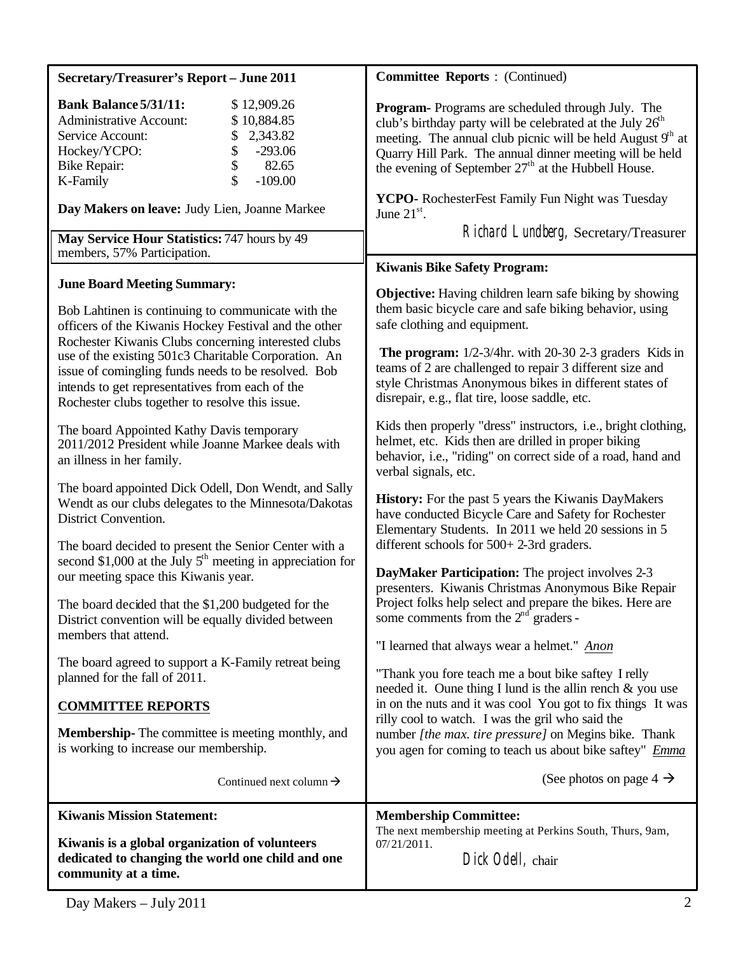| <b>Secretary/Treasurer's Report - June 2011</b>                                                                                                                                                                                                                                                                                       | <b>Committee Reports: (Continued)</b>                                                                                                                                                                                                                                                                                                                                                                                                  |
|---------------------------------------------------------------------------------------------------------------------------------------------------------------------------------------------------------------------------------------------------------------------------------------------------------------------------------------|----------------------------------------------------------------------------------------------------------------------------------------------------------------------------------------------------------------------------------------------------------------------------------------------------------------------------------------------------------------------------------------------------------------------------------------|
| <b>Bank Balance 5/31/11:</b><br>\$12,909.26<br>\$10,884.85<br><b>Administrative Account:</b><br>2,343.82<br>Service Account:<br>\$<br>\$<br>Hockey/YCPO:<br>$-293.06$<br>\$<br>82.65<br><b>Bike Repair:</b><br>$-109.00$<br>K-Family<br>Day Makers on leave: Judy Lien, Joanne Markee<br>May Service Hour Statistics: 747 hours by 49 | Program-Programs are scheduled through July. The<br>club's birthday party will be celebrated at the July $26th$<br>meeting. The annual club picnic will be held August 9 <sup>th</sup> at<br>Quarry Hill Park. The annual dinner meeting will be held<br>the evening of September 27 <sup>th</sup> at the Hubbell House.<br>YCPO- RochesterFest Family Fun Night was Tuesday<br>June $21st$ .<br>Richard Lundberg, Secretary/Treasurer |
| members, 57% Participation.                                                                                                                                                                                                                                                                                                           |                                                                                                                                                                                                                                                                                                                                                                                                                                        |
| <b>June Board Meeting Summary:</b><br>Bob Lahtinen is continuing to communicate with the<br>officers of the Kiwanis Hockey Festival and the other<br>Rochester Kiwanis Clubs concerning interested clubs<br>use of the existing 501c3 Charitable Corporation. An                                                                      | <b>Kiwanis Bike Safety Program:</b><br><b>Objective:</b> Having children learn safe biking by showing<br>them basic bicycle care and safe biking behavior, using<br>safe clothing and equipment.<br><b>The program:</b> $1/2-3/4$ hr. with 20-30 2-3 graders Kids in                                                                                                                                                                   |
| issue of comingling funds needs to be resolved. Bob<br>intends to get representatives from each of the<br>Rochester clubs together to resolve this issue.                                                                                                                                                                             | teams of 2 are challenged to repair 3 different size and<br>style Christmas Anonymous bikes in different states of<br>disrepair, e.g., flat tire, loose saddle, etc.                                                                                                                                                                                                                                                                   |
| The board Appointed Kathy Davis temporary<br>2011/2012 President while Joanne Markee deals with<br>an illness in her family.                                                                                                                                                                                                          | Kids then properly "dress" instructors, i.e., bright clothing,<br>helmet, etc. Kids then are drilled in proper biking<br>behavior, i.e., "riding" on correct side of a road, hand and<br>verbal signals, etc.                                                                                                                                                                                                                          |
| The board appointed Dick Odell, Don Wendt, and Sally<br>Wendt as our clubs delegates to the Minnesota/Dakotas<br>District Convention.<br>The board decided to present the Senior Center with a                                                                                                                                        | <b>History:</b> For the past 5 years the Kiwanis DayMakers<br>have conducted Bicycle Care and Safety for Rochester<br>Elementary Students. In 2011 we held 20 sessions in 5<br>different schools for 500+2-3rd graders.                                                                                                                                                                                                                |
| second \$1,000 at the July $5th$ meeting in appreciation for<br>our meeting space this Kiwanis year.                                                                                                                                                                                                                                  | DayMaker Participation: The project involves 2-3<br>presenters. Kiwanis Christmas Anonymous Bike Repair                                                                                                                                                                                                                                                                                                                                |
| The board decided that the \$1,200 budgeted for the<br>District convention will be equally divided between<br>members that attend.                                                                                                                                                                                                    | Project folks help select and prepare the bikes. Here are<br>some comments from the $2nd$ graders -<br>"I learned that always wear a helmet." Anon                                                                                                                                                                                                                                                                                     |
| The board agreed to support a K-Family retreat being<br>planned for the fall of 2011.                                                                                                                                                                                                                                                 | "Thank you fore teach me a bout bike saftey I relly<br>needed it. Oune thing I lund is the allin rench $\&$ you use                                                                                                                                                                                                                                                                                                                    |
| <b>COMMITTEE REPORTS</b><br><b>Membership-</b> The committee is meeting monthly, and<br>is working to increase our membership.                                                                                                                                                                                                        | in on the nuts and it was cool You got to fix things It was<br>rilly cool to watch. I was the gril who said the<br>number [the max. tire pressure] on Megins bike. Thank<br>you agen for coming to teach us about bike saftey" Emma                                                                                                                                                                                                    |
| Continued next column $\rightarrow$                                                                                                                                                                                                                                                                                                   | (See photos on page 4 $\rightarrow$                                                                                                                                                                                                                                                                                                                                                                                                    |
| <b>Kiwanis Mission Statement:</b><br>Kiwanis is a global organization of volunteers<br>dedicated to changing the world one child and one<br>community at a time.                                                                                                                                                                      | <b>Membership Committee:</b><br>The next membership meeting at Perkins South, Thurs, 9am,<br>07/21/2011.<br>Dick Odell, chair                                                                                                                                                                                                                                                                                                          |
|                                                                                                                                                                                                                                                                                                                                       |                                                                                                                                                                                                                                                                                                                                                                                                                                        |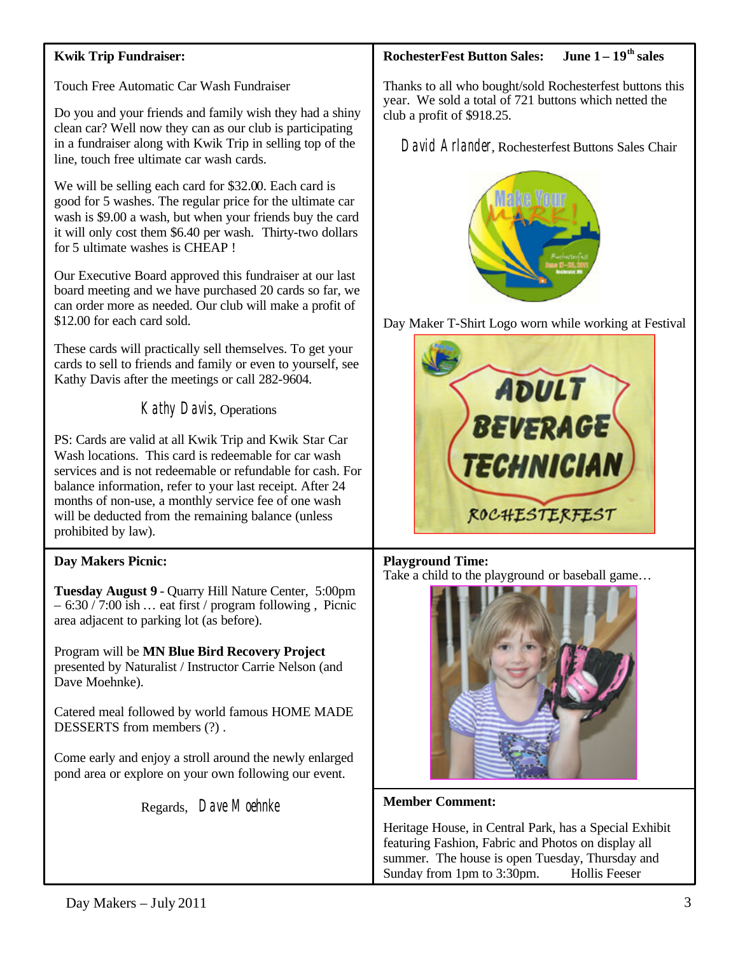### **Kwik Trip Fundraiser:**

Touch Free Automatic Car Wash Fundraiser

Do you and your friends and family wish they had a shiny clean car? Well now they can as our club is participating in a fundraiser along with Kwik Trip in selling top of the line, touch free ultimate car wash cards.

We will be selling each card for \$32.00. Each card is good for 5 washes. The regular price for the ultimate car wash is \$9.00 a wash, but when your friends buy the card it will only cost them \$6.40 per wash. Thirty-two dollars for 5 ultimate washes is CHEAP !

Our Executive Board approved this fundraiser at our last board meeting and we have purchased 20 cards so far, we can order more as needed. Our club will make a profit of \$12.00 for each card sold.

These cards will practically sell themselves. To get your cards to sell to friends and family or even to yourself, see Kathy Davis after the meetings or call 282-9604.

Kathy Davis, Operations

PS: Cards are valid at all Kwik Trip and Kwik Star Car Wash locations. This card is redeemable for car wash services and is not redeemable or refundable for cash. For balance information, refer to your last receipt. After 24 months of non-use, a monthly service fee of one wash will be deducted from the remaining balance (unless prohibited by law).

### **Day Makers Picnic:**

**Tuesday August 9** - Quarry Hill Nature Center, 5:00pm  $-6:30 / 7:00$  ish ... eat first / program following, Picnic area adjacent to parking lot (as before).

Program will be **MN Blue Bird Recovery Project** presented by Naturalist / Instructor Carrie Nelson (and Dave Moehnke).

Catered meal followed by world famous HOME MADE DESSERTS from members (?) .

Come early and enjoy a stroll around the newly enlarged pond area or explore on your own following our event.

Regards, Dave Moehnke

## **RochesterFest Button Sales: June 1 – 19th sales**

Thanks to all who bought/sold Rochesterfest buttons this year. We sold a total of 721 buttons which netted the club a profit of \$918.25.

David Arlander, Rochesterfest Buttons Sales Chair



Day Maker T-Shirt Logo worn while working at Festival



### **Playground Time:**

Take a child to the playground or baseball game…



#### **Member Comment:**

Heritage House, in Central Park, has a Special Exhibit featuring Fashion, Fabric and Photos on display all summer. The house is open Tuesday, Thursday and Sunday from 1pm to 3:30pm. Hollis Feeser